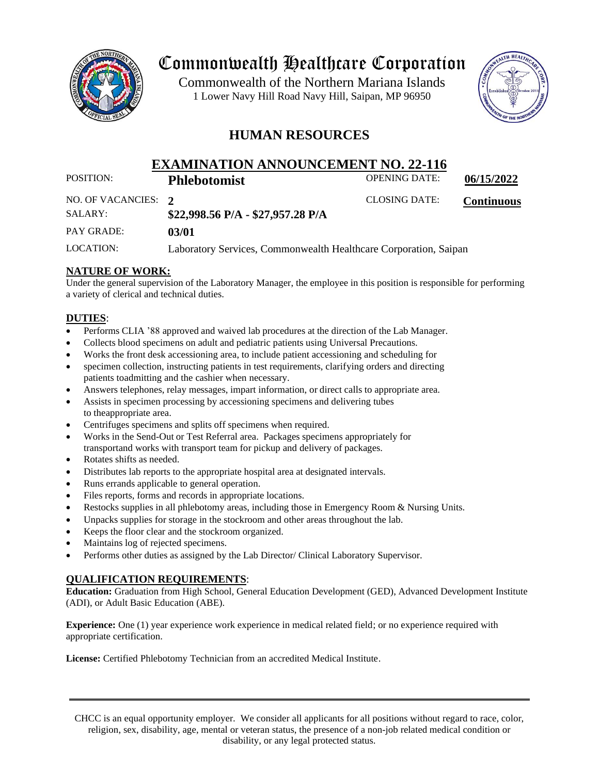

## Commonwealth Healthcare Corporation

 1 Lower Navy Hill Road Navy Hill, Saipan, MP 96950Commonwealth of the Northern Mariana Islands



### **HUMAN RESOURCES**

# **EXAMINATION ANNOUNCEMENT NO. 22-116**<br>Philadetermist OPENING DATE:

POSITION: **Phlebotomist** OPENING DATE: 06/15/2022

| NO. OF VACANCIES: 2<br>SALARY: | \$22,998.56 P/A - \$27,957.28 P/A                                | <b>CLOSING DATE:</b> | <b>Continuous</b> |
|--------------------------------|------------------------------------------------------------------|----------------------|-------------------|
| PAY GRADE:                     | 03/01                                                            |                      |                   |
| LOCATION:                      | Laboratory Services, Commonwealth Healthcare Corporation, Saipan |                      |                   |

#### **NATURE OF WORK:**

Under the general supervision of the Laboratory Manager, the employee in this position is responsible for performing a variety of clerical and technical duties.

#### **DUTIES**:

- Performs CLIA '88 approved and waived lab procedures at the direction of the Lab Manager.
- Collects blood specimens on adult and pediatric patients using Universal Precautions.
- Works the front desk accessioning area, to include patient accessioning and scheduling for
- specimen collection, instructing patients in test requirements, clarifying orders and directing patients toadmitting and the cashier when necessary.
- Answers telephones, relay messages, impart information, or direct calls to appropriate area.
- Assists in specimen processing by accessioning specimens and delivering tubes to theappropriate area.
- Centrifuges specimens and splits off specimens when required.
- Works in the Send-Out or Test Referral area. Packages specimens appropriately for transportand works with transport team for pickup and delivery of packages.
- Rotates shifts as needed.
- Distributes lab reports to the appropriate hospital area at designated intervals.
- Runs errands applicable to general operation.
- Files reports, forms and records in appropriate locations.
- Restocks supplies in all phlebotomy areas, including those in Emergency Room & Nursing Units.
- Unpacks supplies for storage in the stockroom and other areas throughout the lab.
- Keeps the floor clear and the stockroom organized.
- Maintains log of rejected specimens.
- Performs other duties as assigned by the Lab Director/ Clinical Laboratory Supervisor.

#### **QUALIFICATION REQUIREMENTS**:

**Education:** Graduation from High School, General Education Development (GED), Advanced Development Institute (ADI), or Adult Basic Education (ABE).

**Experience:** One (1) year experience work experience in medical related field; or no experience required with appropriate certification.

**License:** Certified Phlebotomy Technician from an accredited Medical Institute.

CHCC is an equal opportunity employer. We consider all applicants for all positions without regard to race, color, religion, sex, disability, age, mental or veteran status, the presence of a non-job related medical condition or disability, or any legal protected status.